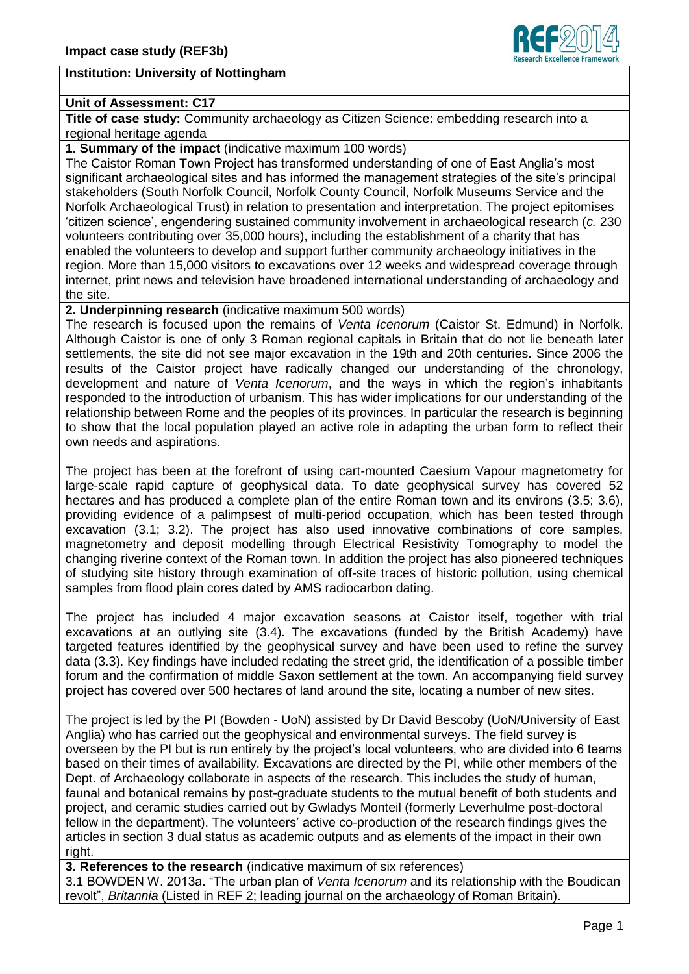

# **Institution: University of Nottingham**

## **Unit of Assessment: C17**

**Title of case study:** Community archaeology as Citizen Science: embedding research into a regional heritage agenda

**1. Summary of the impact** (indicative maximum 100 words)

The Caistor Roman Town Project has transformed understanding of one of East Anglia's most significant archaeological sites and has informed the management strategies of the site's principal stakeholders (South Norfolk Council, Norfolk County Council, Norfolk Museums Service and the Norfolk Archaeological Trust) in relation to presentation and interpretation. The project epitomises 'citizen science', engendering sustained community involvement in archaeological research (*c.* 230 volunteers contributing over 35,000 hours), including the establishment of a charity that has enabled the volunteers to develop and support further community archaeology initiatives in the region. More than 15,000 visitors to excavations over 12 weeks and widespread coverage through internet, print news and television have broadened international understanding of archaeology and the site.

**2. Underpinning research** (indicative maximum 500 words)

The research is focused upon the remains of *Venta Icenorum* (Caistor St. Edmund) in Norfolk. Although Caistor is one of only 3 Roman regional capitals in Britain that do not lie beneath later settlements, the site did not see major excavation in the 19th and 20th centuries. Since 2006 the results of the Caistor project have radically changed our understanding of the chronology, development and nature of *Venta Icenorum*, and the ways in which the region's inhabitants responded to the introduction of urbanism. This has wider implications for our understanding of the relationship between Rome and the peoples of its provinces. In particular the research is beginning to show that the local population played an active role in adapting the urban form to reflect their own needs and aspirations.

The project has been at the forefront of using cart-mounted Caesium Vapour magnetometry for large-scale rapid capture of geophysical data. To date geophysical survey has covered 52 hectares and has produced a complete plan of the entire Roman town and its environs (3.5; 3.6), providing evidence of a palimpsest of multi-period occupation, which has been tested through excavation (3.1; 3.2). The project has also used innovative combinations of core samples, magnetometry and deposit modelling through Electrical Resistivity Tomography to model the changing riverine context of the Roman town. In addition the project has also pioneered techniques of studying site history through examination of off-site traces of historic pollution, using chemical samples from flood plain cores dated by AMS radiocarbon dating.

The project has included 4 major excavation seasons at Caistor itself, together with trial excavations at an outlying site (3.4). The excavations (funded by the British Academy) have targeted features identified by the geophysical survey and have been used to refine the survey data (3.3). Key findings have included redating the street grid, the identification of a possible timber forum and the confirmation of middle Saxon settlement at the town. An accompanying field survey project has covered over 500 hectares of land around the site, locating a number of new sites.

The project is led by the PI (Bowden - UoN) assisted by Dr David Bescoby (UoN/University of East Anglia) who has carried out the geophysical and environmental surveys. The field survey is overseen by the PI but is run entirely by the project's local volunteers, who are divided into 6 teams based on their times of availability. Excavations are directed by the PI, while other members of the Dept. of Archaeology collaborate in aspects of the research. This includes the study of human, faunal and botanical remains by post-graduate students to the mutual benefit of both students and project, and ceramic studies carried out by Gwladys Monteil (formerly Leverhulme post-doctoral fellow in the department). The volunteers' active co-production of the research findings gives the articles in section 3 dual status as academic outputs and as elements of the impact in their own right.

**3. References to the research** (indicative maximum of six references)

3.1 BOWDEN W. 2013a. "The urban plan of *Venta Icenorum* and its relationship with the Boudican revolt", *Britannia* (Listed in REF 2; leading journal on the archaeology of Roman Britain).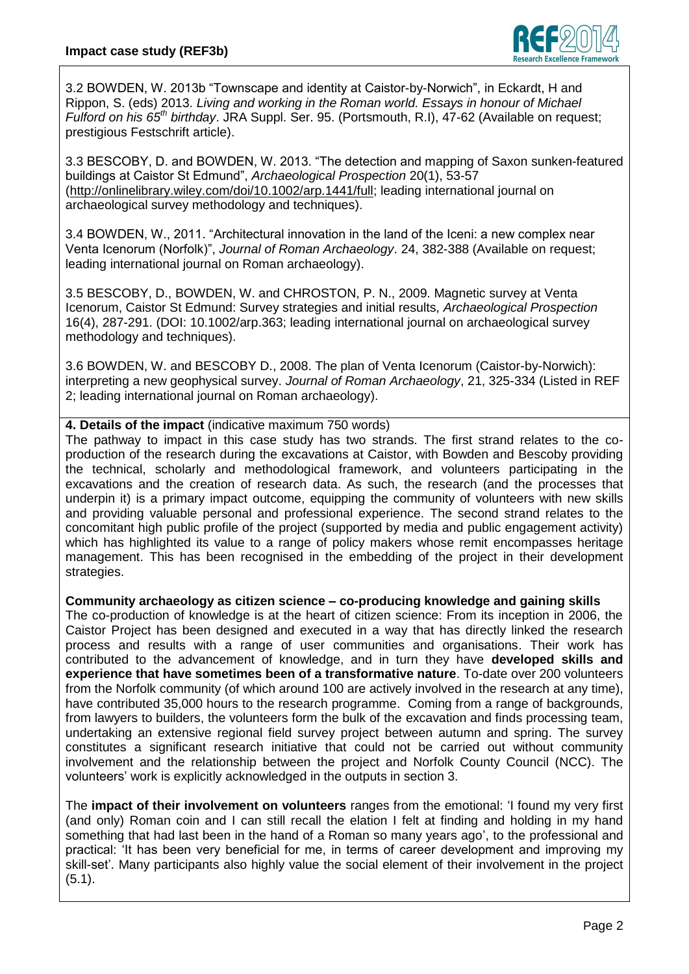

3.2 BOWDEN, W. 2013b "Townscape and identity at Caistor-by-Norwich", in Eckardt, H and Rippon, S. (eds) 2013. *Living and working in the Roman world. Essays in honour of Michael Fulford on his 65th birthday*. JRA Suppl. Ser. 95. (Portsmouth, R.I), 47-62 (Available on request; prestigious Festschrift article).

3.3 BESCOBY, D. and BOWDEN, W. 2013. "The detection and mapping of Saxon sunken-featured buildings at Caistor St Edmund", *Archaeological Prospection* 20(1), 53-57 [\(http://onlinelibrary.wiley.com/doi/10.1002/arp.1441/full;](http://onlinelibrary.wiley.com/doi/10.1002/arp.1441/full) leading international journal on archaeological survey methodology and techniques).

3.4 BOWDEN, W., 2011. "Architectural innovation in the land of the Iceni: a new complex near Venta Icenorum (Norfolk)", *Journal of Roman Archaeology*. 24, 382-388 (Available on request; leading international journal on Roman archaeology).

3.5 BESCOBY, D., BOWDEN, W. and CHROSTON, P. N., 2009. Magnetic survey at Venta Icenorum, Caistor St Edmund: Survey strategies and initial results, *Archaeological Prospection* 16(4), 287-291. (DOI: 10.1002/arp.363; leading international journal on archaeological survey methodology and techniques).

3.6 BOWDEN, W. and BESCOBY D., 2008. The plan of Venta Icenorum (Caistor-by-Norwich): interpreting a new geophysical survey. *Journal of Roman Archaeology*, 21, 325-334 (Listed in REF 2; leading international journal on Roman archaeology).

## **4. Details of the impact** (indicative maximum 750 words)

The pathway to impact in this case study has two strands. The first strand relates to the coproduction of the research during the excavations at Caistor, with Bowden and Bescoby providing the technical, scholarly and methodological framework, and volunteers participating in the excavations and the creation of research data. As such, the research (and the processes that underpin it) is a primary impact outcome, equipping the community of volunteers with new skills and providing valuable personal and professional experience. The second strand relates to the concomitant high public profile of the project (supported by media and public engagement activity) which has highlighted its value to a range of policy makers whose remit encompasses heritage management. This has been recognised in the embedding of the project in their development strategies.

## **Community archaeology as citizen science – co-producing knowledge and gaining skills**

The co-production of knowledge is at the heart of citizen science: From its inception in 2006, the Caistor Project has been designed and executed in a way that has directly linked the research process and results with a range of user communities and organisations. Their work has contributed to the advancement of knowledge, and in turn they have **developed skills and experience that have sometimes been of a transformative nature**. To-date over 200 volunteers from the Norfolk community (of which around 100 are actively involved in the research at any time), have contributed 35,000 hours to the research programme. Coming from a range of backgrounds, from lawyers to builders, the volunteers form the bulk of the excavation and finds processing team, undertaking an extensive regional field survey project between autumn and spring. The survey constitutes a significant research initiative that could not be carried out without community involvement and the relationship between the project and Norfolk County Council (NCC). The volunteers' work is explicitly acknowledged in the outputs in section 3.

The **impact of their involvement on volunteers** ranges from the emotional: 'I found my very first (and only) Roman coin and I can still recall the elation I felt at finding and holding in my hand something that had last been in the hand of a Roman so many years ago', to the professional and practical: 'It has been very beneficial for me, in terms of career development and improving my skill-set'. Many participants also highly value the social element of their involvement in the project (5.1).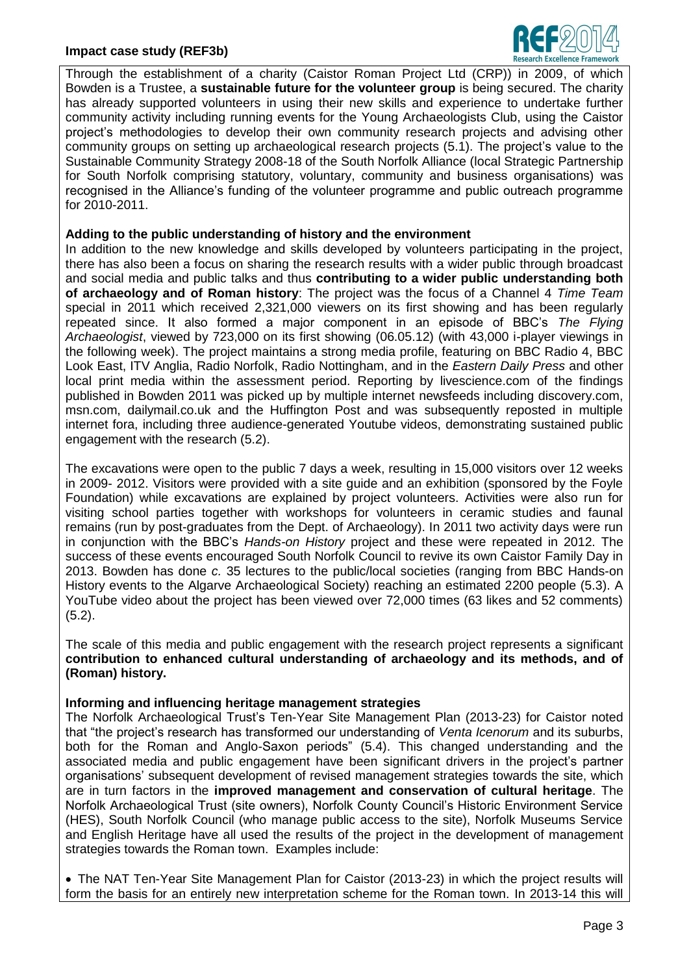

Through the establishment of a charity (Caistor Roman Project Ltd (CRP)) in 2009, of which Bowden is a Trustee, a **sustainable future for the volunteer group** is being secured. The charity has already supported volunteers in using their new skills and experience to undertake further community activity including running events for the Young Archaeologists Club, using the Caistor project's methodologies to develop their own community research projects and advising other community groups on setting up archaeological research projects (5.1). The project's value to the Sustainable Community Strategy 2008-18 of the South Norfolk Alliance (local Strategic Partnership for South Norfolk comprising statutory, voluntary, community and business organisations) was recognised in the Alliance's funding of the volunteer programme and public outreach programme for 2010-2011.

## **Adding to the public understanding of history and the environment**

In addition to the new knowledge and skills developed by volunteers participating in the project, there has also been a focus on sharing the research results with a wider public through broadcast and social media and public talks and thus **contributing to a wider public understanding both of archaeology and of Roman history**: The project was the focus of a Channel 4 *Time Team*  special in 2011 which received 2,321,000 viewers on its first showing and has been regularly repeated since. It also formed a major component in an episode of BBC's *The Flying Archaeologist*, viewed by 723,000 on its first showing (06.05.12) (with 43,000 i-player viewings in the following week). The project maintains a strong media profile, featuring on BBC Radio 4, BBC Look East, ITV Anglia, Radio Norfolk, Radio Nottingham, and in the *Eastern Daily Press* and other local print media within the assessment period. Reporting by livescience.com of the findings published in Bowden 2011 was picked up by multiple internet newsfeeds including discovery.com, msn.com, dailymail.co.uk and the Huffington Post and was subsequently reposted in multiple internet fora, including three audience-generated Youtube videos, demonstrating sustained public engagement with the research (5.2).

The excavations were open to the public 7 days a week, resulting in 15,000 visitors over 12 weeks in 2009- 2012. Visitors were provided with a site guide and an exhibition (sponsored by the Foyle Foundation) while excavations are explained by project volunteers. Activities were also run for visiting school parties together with workshops for volunteers in ceramic studies and faunal remains (run by post-graduates from the Dept. of Archaeology). In 2011 two activity days were run in conjunction with the BBC's *Hands-on History* project and these were repeated in 2012. The success of these events encouraged South Norfolk Council to revive its own Caistor Family Day in 2013. Bowden has done *c.* 35 lectures to the public/local societies (ranging from BBC Hands-on History events to the Algarve Archaeological Society) reaching an estimated 2200 people (5.3). A YouTube video about the project has been viewed over 72,000 times (63 likes and 52 comments)  $(5.2)$ .

The scale of this media and public engagement with the research project represents a significant **contribution to enhanced cultural understanding of archaeology and its methods, and of (Roman) history.** 

#### **Informing and influencing heritage management strategies**

The Norfolk Archaeological Trust's Ten-Year Site Management Plan (2013-23) for Caistor noted that "the project's research has transformed our understanding of *Venta Icenorum* and its suburbs, both for the Roman and Anglo-Saxon periods" (5.4). This changed understanding and the associated media and public engagement have been significant drivers in the project's partner organisations' subsequent development of revised management strategies towards the site, which are in turn factors in the **improved management and conservation of cultural heritage**. The Norfolk Archaeological Trust (site owners), Norfolk County Council's Historic Environment Service (HES), South Norfolk Council (who manage public access to the site), Norfolk Museums Service and English Heritage have all used the results of the project in the development of management strategies towards the Roman town. Examples include:

 The NAT Ten-Year Site Management Plan for Caistor (2013-23) in which the project results will form the basis for an entirely new interpretation scheme for the Roman town. In 2013-14 this will